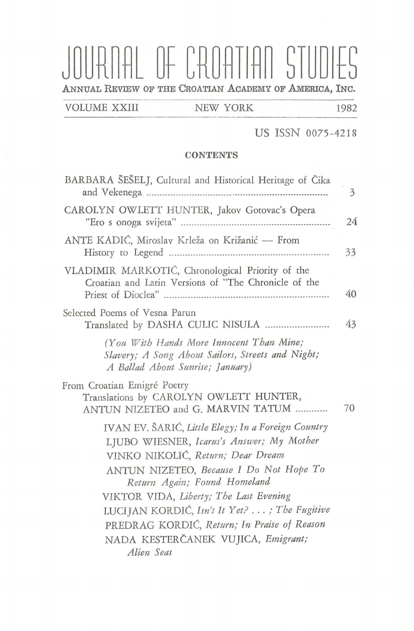# NAL OF CROATIAN STUDIES **ANNUAL REVIEW OF THE CROATIAN ACADEMY OF AMERicA, INC.**

VOLUME XXIII NEW YORK 1982

#### US ISSN 0075-4218

#### **CONTENTS**

| BARBARA SESELJ, Cultural and Historical Heritage of Cika                                                                                                                                                                                                                                                                                                 |
|----------------------------------------------------------------------------------------------------------------------------------------------------------------------------------------------------------------------------------------------------------------------------------------------------------------------------------------------------------|
| CAROLYN OWLETT HUNTER, Jakov Gotovac's Opera                                                                                                                                                                                                                                                                                                             |
| ANTE KADIĆ, Miroslav Krleža on Križanić — From                                                                                                                                                                                                                                                                                                           |
| VLADIMIR MARKOTIĆ, Chronological Priority of the<br>Croatian and Latin Versions of "The Chronicle of the                                                                                                                                                                                                                                                 |
| Selected Poems of Vesna Parun                                                                                                                                                                                                                                                                                                                            |
| (You With Hands More Innocent Than Mine;<br>Slavery; A Song About Sailors, Streets and Night;<br>A Ballad About Sunrise; January)                                                                                                                                                                                                                        |
| From Croatian Emigré Poetry<br>Translations by CAROLYN OWLETT HUNTER,<br>ANTUN NIZETEO and G. MARVIN TATUM                                                                                                                                                                                                                                               |
| IVAN EV. ŠARIĆ, Little Elegy; In a Foreign Country<br>LJUBO WIESNER, Icarus's Answer; My Mother<br>VINKO NIKOLIĆ, Return; Dear Dream<br>ANTUN NIZETEO, Because I Do Not Hope To<br>Return Again; Found Homeland<br>VIKTOR VIDA, Liberty; The Last Evening<br>LUCIJAN KORDIĆ, Isn't It Yet? ; The Fugitive<br>PREDRAG KORDIĆ, Return; In Praise of Reason |
| NADA KESTERČANEK VUJICA, Emigrant;<br>Alien Seas                                                                                                                                                                                                                                                                                                         |